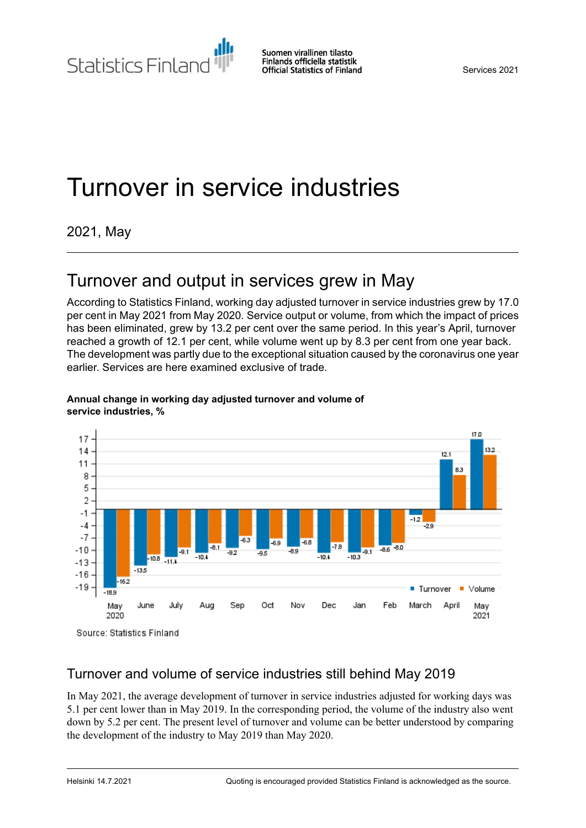Statistics Finland

Services 2021

# Turnover in service industries

## 2021, May

## Turnover and output in services grew in May

According to Statistics Finland, working day adjusted turnover in service industries grew by 17.0 per cent in May 2021 from May 2020. Service output or volume, from which the impact of prices has been eliminated, grew by 13.2 per cent over the same period. In this year's April, turnover reached a growth of 12.1 per cent, while volume went up by 8.3 per cent from one year back. The development was partly due to the exceptional situation caused by the coronavirus one year earlier. Services are here examined exclusive of trade.



#### **Annual change in working day adjusted turnover and volume of service industries, %**

Source: Statistics Finland

### Turnover and volume of service industries still behind May 2019

In May 2021, the average development of turnover in service industries adjusted for working days was 5.1 per cent lower than in May 2019. In the corresponding period, the volume of the industry also went down by 5.2 per cent. The present level of turnover and volume can be better understood by comparing the development of the industry to May 2019 than May 2020.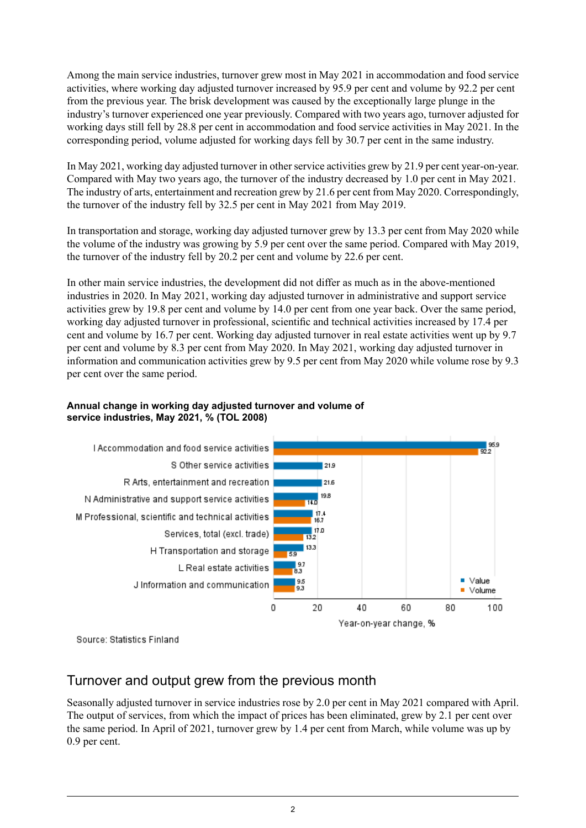Among the main service industries, turnover grew most in May 2021 in accommodation and food service activities, where working day adjusted turnover increased by 95.9 per cent and volume by 92.2 per cent from the previous year. The brisk development was caused by the exceptionally large plunge in the industry's turnover experienced one year previously. Compared with two years ago, turnover adjusted for working days still fell by 28.8 per cent in accommodation and food service activities in May 2021. In the corresponding period, volume adjusted for working days fell by 30.7 per cent in the same industry.

In May 2021, working day adjusted turnover in other service activities grew by 21.9 per cent year-on-year. Compared with May two years ago, the turnover of the industry decreased by 1.0 per cent in May 2021. The industry of arts, entertainment and recreation grew by 21.6 per cent from May 2020. Correspondingly, the turnover of the industry fell by 32.5 per cent in May 2021 from May 2019.

In transportation and storage, working day adjusted turnover grew by 13.3 per cent from May 2020 while the volume of the industry was growing by 5.9 per cent over the same period. Compared with May 2019, the turnover of the industry fell by 20.2 per cent and volume by 22.6 per cent.

In other main service industries, the development did not differ as much as in the above-mentioned industries in 2020. In May 2021, working day adjusted turnover in administrative and support service activities grew by 19.8 per cent and volume by 14.0 per cent from one year back. Over the same period, working day adjusted turnover in professional, scientific and technical activities increased by 17.4 per cent and volume by 16.7 per cent. Working day adjusted turnover in real estate activities went up by 9.7 per cent and volume by 8.3 per cent from May 2020. In May 2021, working day adjusted turnover in information and communication activities grew by 9.5 per cent from May 2020 while volume rose by 9.3 per cent over the same period.

#### **Annual change in working day adjusted turnover and volume of service industries, May 2021, % (TOL 2008)**



Source: Statistics Finland

### Turnover and output grew from the previous month

Seasonally adjusted turnover in service industries rose by 2.0 per cent in May 2021 compared with April. The output of services, from which the impact of prices has been eliminated, grew by 2.1 per cent over the same period. In April of 2021, turnover grew by 1.4 per cent from March, while volume was up by 0.9 per cent.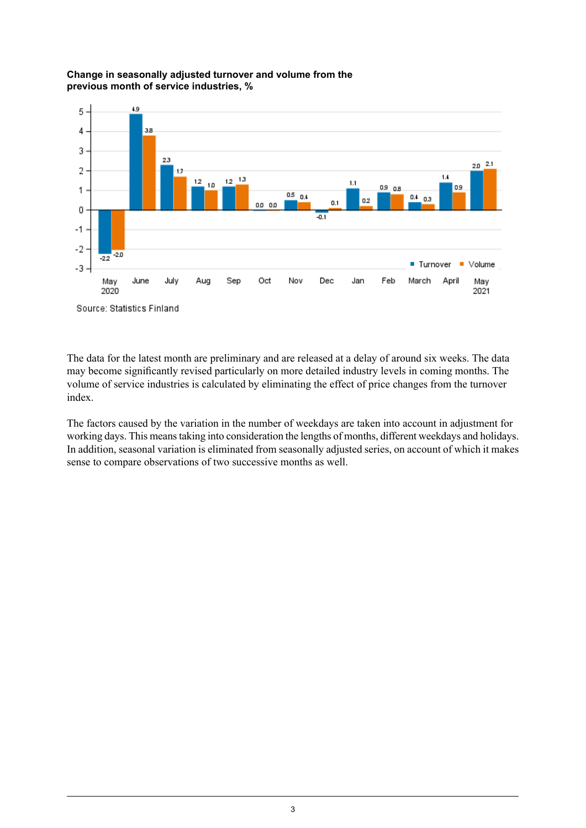#### **Change in seasonally adjusted turnover and volume from the previous month of service industries, %**



The data for the latest month are preliminary and are released at a delay of around six weeks. The data may become significantly revised particularly on more detailed industry levels in coming months. The volume of service industries is calculated by eliminating the effect of price changes from the turnover index.

The factors caused by the variation in the number of weekdays are taken into account in adjustment for working days. This meanstaking into consideration the lengths of months, different weekdays and holidays. In addition, seasonal variation is eliminated from seasonally adjusted series, on account of which it makes sense to compare observations of two successive months as well.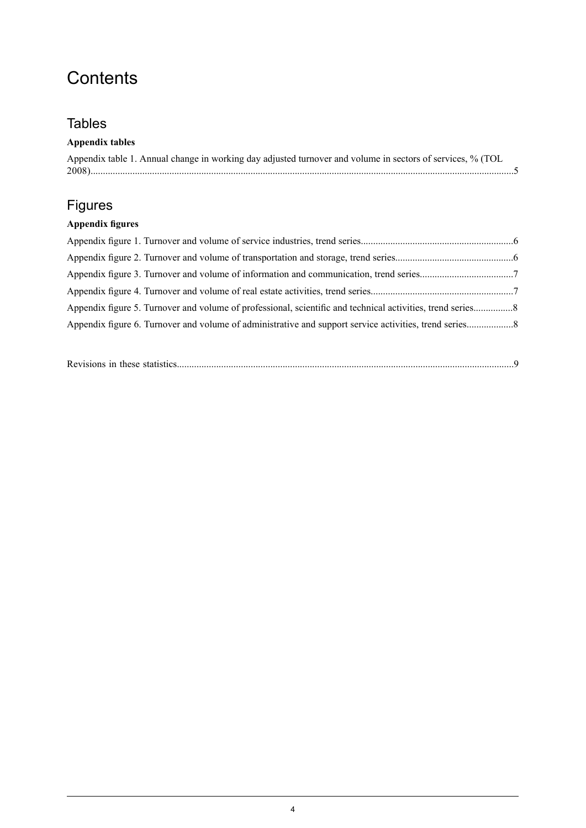## **Contents**

## **Tables**

### **Appendix tables**

| Appendix table 1. Annual change in working day adjusted turnover and volume in sectors of services, % (TOL |
|------------------------------------------------------------------------------------------------------------|
|                                                                                                            |

## Figures

### **Appendix figures**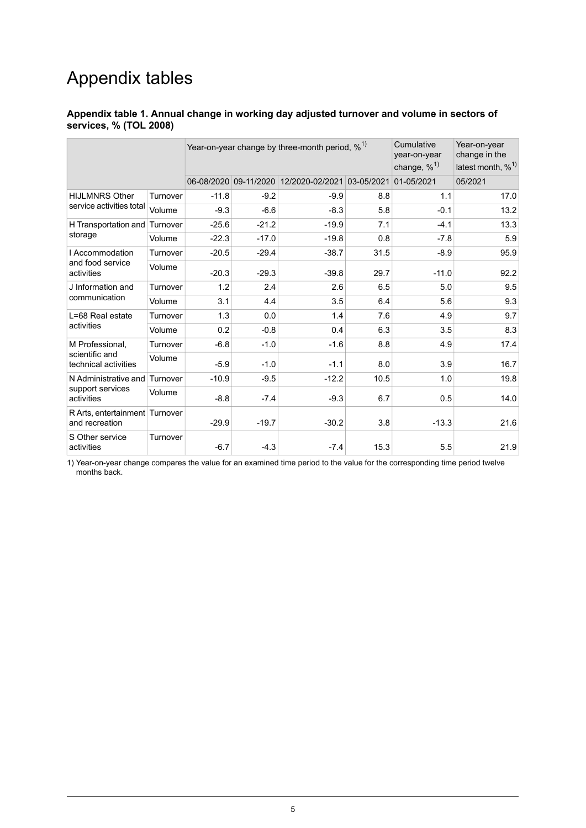## Appendix tables

#### <span id="page-4-0"></span>**Appendix table 1. Annual change in working day adjusted turnover and volume in sectors of services, % (TOL 2008)**

|                                                           |          | Year-on-year change by three-month period, $\%$ <sup>1)</sup> |         |                                                  | Cumulative<br>year-on-year<br>change, % <sup>1)</sup> | Year-on-year<br>change in the<br>latest month, $\%^{1}$ |         |
|-----------------------------------------------------------|----------|---------------------------------------------------------------|---------|--------------------------------------------------|-------------------------------------------------------|---------------------------------------------------------|---------|
|                                                           |          |                                                               |         | 06-08/2020 09-11/2020 12/2020-02/2021 03-05/2021 |                                                       | 01-05/2021                                              | 05/2021 |
| <b>HIJLMNRS Other</b><br>service activities total         | Turnover | $-11.8$                                                       | $-9.2$  | $-9.9$                                           | 8.8                                                   | 1.1                                                     | 17.0    |
|                                                           | Volume   | $-9.3$                                                        | $-6.6$  | $-8.3$                                           | 5.8                                                   | $-0.1$                                                  | 13.2    |
| H Transportation and                                      | Turnover | $-25.6$                                                       | $-21.2$ | $-19.9$                                          | 7.1                                                   | $-4.1$                                                  | 13.3    |
| storage                                                   | Volume   | $-22.3$                                                       | $-17.0$ | $-19.8$                                          | 0.8                                                   | $-7.8$                                                  | 5.9     |
| I Accommodation                                           | Turnover | $-20.5$                                                       | $-29.4$ | $-38.7$                                          | 31.5                                                  | $-8.9$                                                  | 95.9    |
| and food service<br>activities                            | Volume   | $-20.3$                                                       | $-29.3$ | $-39.8$                                          | 29.7                                                  | $-11.0$                                                 | 92.2    |
| J Information and                                         | Turnover | 1.2                                                           | 2.4     | 2.6                                              | 6.5                                                   | 5.0                                                     | 9.5     |
| communication                                             | Volume   | 3.1                                                           | 4.4     | 3.5                                              | 6.4                                                   | 5.6                                                     | 9.3     |
| L=68 Real estate                                          | Turnover | 1.3                                                           | 0.0     | 1.4                                              | 7.6                                                   | 4.9                                                     | 9.7     |
| activities                                                | Volume   | 0.2                                                           | $-0.8$  | 0.4                                              | 6.3                                                   | 3.5                                                     | 8.3     |
| M Professional,<br>scientific and<br>technical activities | Turnover | $-6.8$                                                        | $-1.0$  | $-1.6$                                           | 8.8                                                   | 4.9                                                     | 17.4    |
|                                                           | Volume   | $-5.9$                                                        | $-1.0$  | $-1.1$                                           | 8.0                                                   | 3.9                                                     | 16.7    |
| N Administrative and<br>support services<br>activities    | Turnover | $-10.9$                                                       | $-9.5$  | $-12.2$                                          | 10.5                                                  | 1.0                                                     | 19.8    |
|                                                           | Volume   | $-8.8$                                                        | $-7.4$  | $-9.3$                                           | 6.7                                                   | 0.5                                                     | 14.0    |
| R Arts, entertainment Turnover<br>and recreation          |          | $-29.9$                                                       | $-19.7$ | $-30.2$                                          | 3.8                                                   | $-13.3$                                                 | 21.6    |
| S Other service<br>activities                             | Turnover | $-6.7$                                                        | $-4.3$  | $-7.4$                                           | 15.3                                                  | 5.5                                                     | 21.9    |

1) Year-on-year change compares the value for an examined time period to the value for the corresponding time period twelve months back.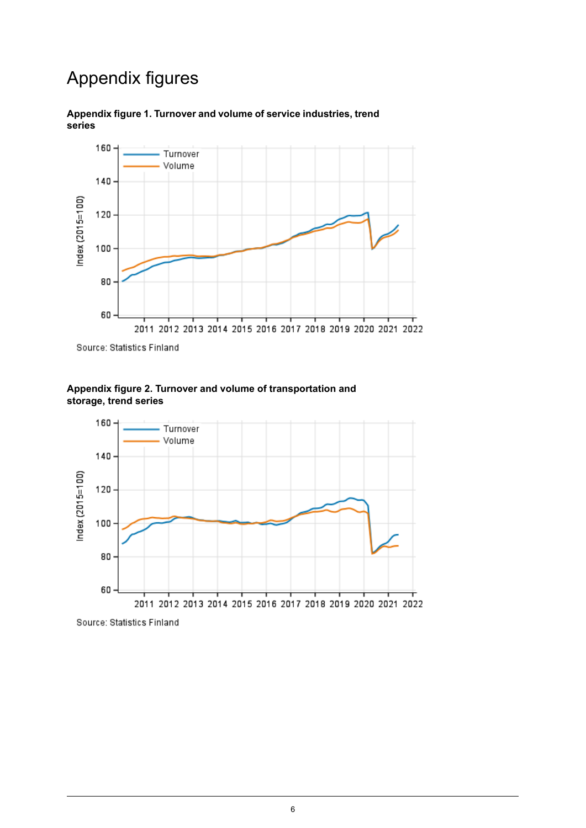## Appendix figures



<span id="page-5-0"></span>**Appendix figure 1. Turnover and volume of service industries, trend series**

<span id="page-5-1"></span>Source: Statistics Finland



**Appendix figure 2. Turnover and volume of transportation and storage, trend series**

Source: Statistics Finland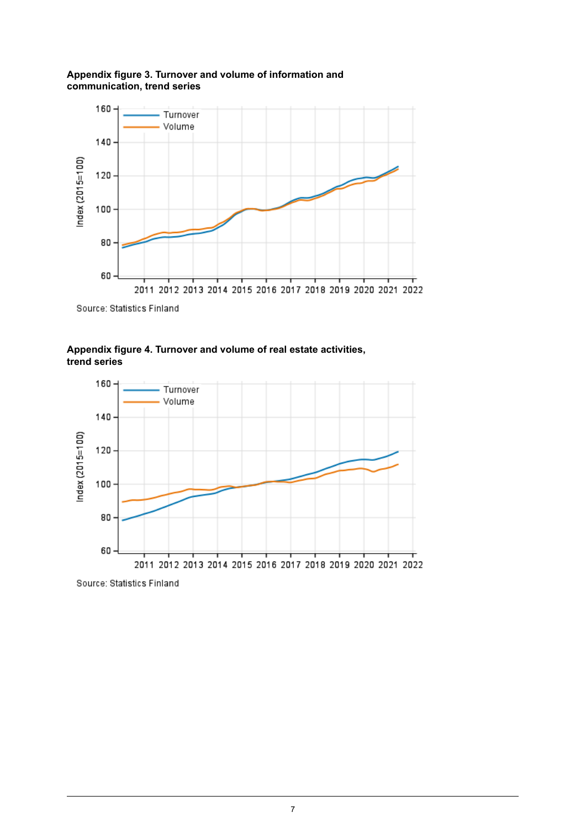#### <span id="page-6-0"></span>**Appendix figure 3. Turnover and volume of information and communication, trend series**



<span id="page-6-1"></span>Source: Statistics Finland

#### **Appendix figure 4. Turnover and volume of real estate activities, trend series**



Source: Statistics Finland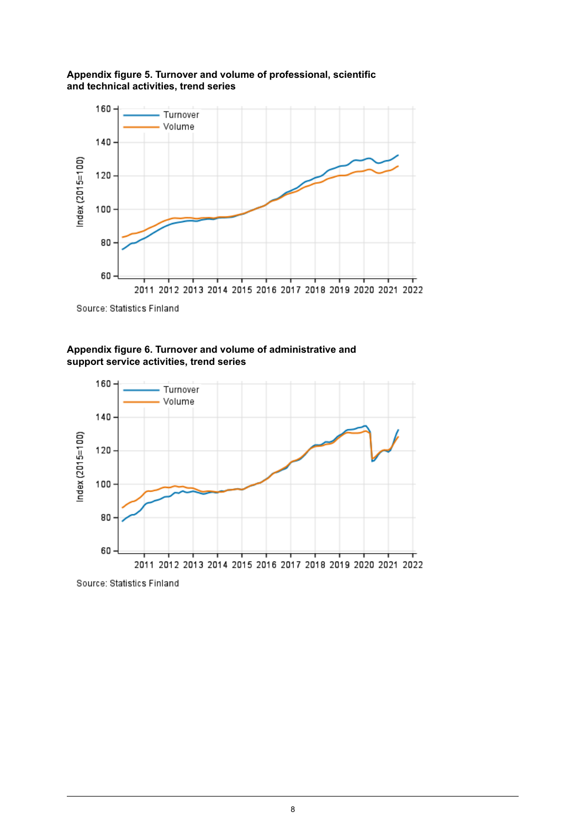<span id="page-7-0"></span>



<span id="page-7-1"></span>Source: Statistics Finland





Source: Statistics Finland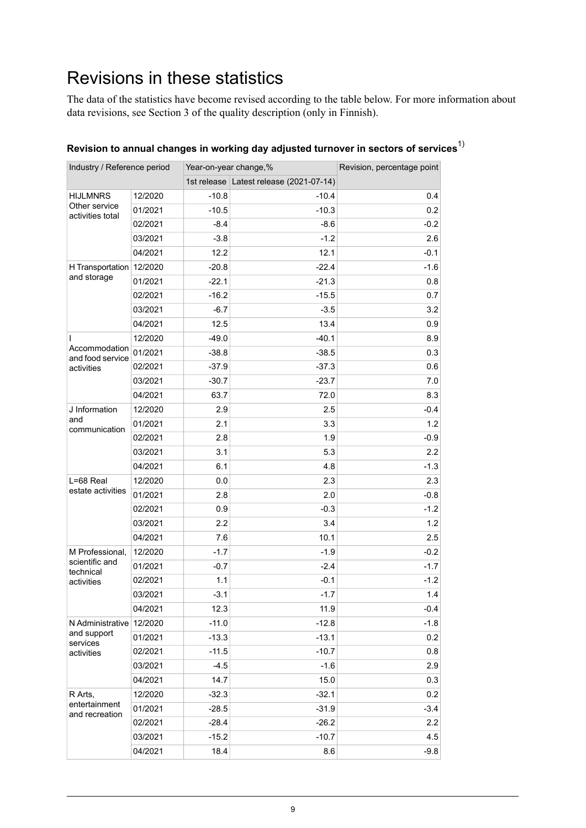## <span id="page-8-0"></span>Revisions in these statistics

The data of the statistics have become revised according to the table below. For more information about data revisions, see Section 3 of the quality description (only in Finnish).

| Industry / Reference period                          |         | Year-on-year change,% |                                         | Revision, percentage point |
|------------------------------------------------------|---------|-----------------------|-----------------------------------------|----------------------------|
|                                                      |         |                       | 1st release Latest release (2021-07-14) |                            |
| <b>HIJLMNRS</b><br>Other service<br>activities total | 12/2020 | $-10.8$               | -10.4                                   | 0.4                        |
|                                                      | 01/2021 | $-10.5$               | $-10.3$                                 | 0.2                        |
|                                                      | 02/2021 | $-8.4$                | $-8.6$                                  | $-0.2$                     |
|                                                      | 03/2021 | $-3.8$                | $-1.2$                                  | 2.6                        |
|                                                      | 04/2021 | 12.2                  | 12.1                                    | $-0.1$                     |
| H Transportation<br>and storage                      | 12/2020 | $-20.8$               | $-22.4$                                 | $-1.6$                     |
|                                                      | 01/2021 | $-22.1$               | $-21.3$                                 | 0.8                        |
|                                                      | 02/2021 | $-16.2$               | $-15.5$                                 | 0.7                        |
|                                                      | 03/2021 | $-6.7$                | $-3.5$                                  | 3.2                        |
|                                                      | 04/2021 | 12.5                  | 13.4                                    | 0.9                        |
| I.                                                   | 12/2020 | $-49.0$               | $-40.1$                                 | 8.9                        |
| Accommodation<br>and food service                    | 01/2021 | $-38.8$               | $-38.5$                                 | 0.3                        |
| activities                                           | 02/2021 | $-37.9$               | $-37.3$                                 | 0.6                        |
|                                                      | 03/2021 | $-30.7$               | $-23.7$                                 | 7.0                        |
|                                                      | 04/2021 | 63.7                  | 72.0                                    | 8.3                        |
| J Information                                        | 12/2020 | 2.9                   | 2.5                                     | $-0.4$                     |
| and                                                  | 01/2021 | 2.1                   | 3.3                                     | 1.2                        |
| communication                                        | 02/2021 | 2.8                   | 1.9                                     | $-0.9$                     |
|                                                      | 03/2021 | 3.1                   | 5.3                                     | 2.2                        |
|                                                      | 04/2021 | 6.1                   | 4.8                                     | $-1.3$                     |
| L=68 Real                                            | 12/2020 | 0.0                   | 2.3                                     | 2.3                        |
| estate activities                                    | 01/2021 | 2.8                   | 2.0                                     | -0.8                       |
|                                                      | 02/2021 | 0.9                   | $-0.3$                                  | $-1.2$                     |
|                                                      | 03/2021 | 2.2                   | 3.4                                     | 1.2                        |
|                                                      | 04/2021 | 7.6                   | 10.1                                    | 2.5                        |
| M Professional,                                      | 12/2020 | $-1.7$                | $-1.9$                                  | $-0.2$                     |
| scientific and<br>technical                          | 01/2021 | $-0.7$                | $-2.4$                                  | $-1.7$                     |
| activities                                           | 02/2021 | 1.1                   | $-0.1$                                  | $-1.2$                     |
|                                                      | 03/2021 | $-3.1$                | $-1.7$                                  | 1.4                        |
|                                                      | 04/2021 | 12.3                  | 11.9                                    | $-0.4$                     |
| N Administrative                                     | 12/2020 | $-11.0$               | $-12.8$                                 | $-1.8$                     |
| and support<br>services<br>activities                | 01/2021 | $-13.3$               | $-13.1$                                 | 0.2                        |
|                                                      | 02/2021 | $-11.5$               | $-10.7$                                 | 0.8                        |
|                                                      | 03/2021 | $-4.5$                | $-1.6$                                  | 2.9                        |
|                                                      | 04/2021 | 14.7                  | 15.0                                    | 0.3                        |
| R Arts,                                              | 12/2020 | $-32.3$               | $-32.1$                                 | 0.2                        |
| entertainment                                        | 01/2021 | $-28.5$               | $-31.9$                                 | $-3.4$                     |
| and recreation                                       | 02/2021 | $-28.4$               | $-26.2$                                 | 2.2                        |
|                                                      | 03/2021 | $-15.2$               | $-10.7$                                 | 4.5                        |
|                                                      | 04/2021 | 18.4                  | 8.6                                     | $-9.8$                     |

### **Revision to annual changes in working day adjusted turnover in sectors of services**1)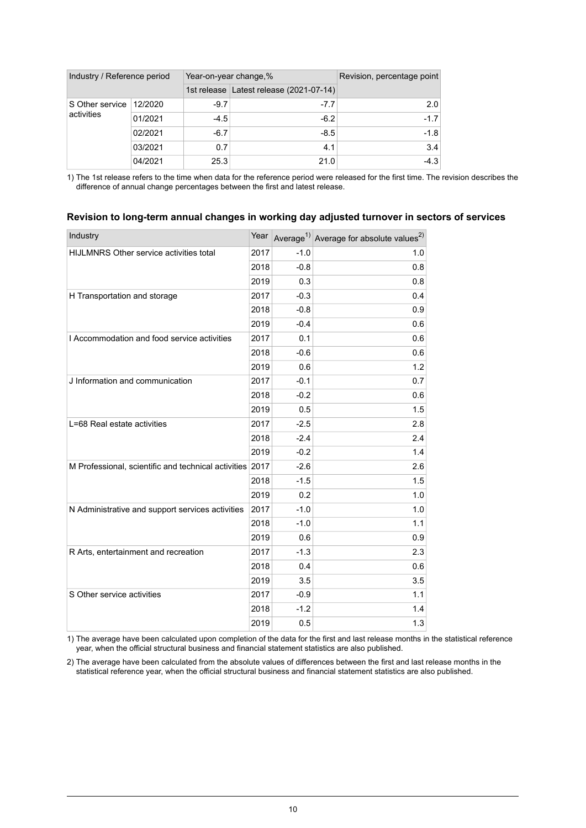| Industry / Reference period   |         |        | Year-on-year change,%                   | Revision, percentage point |
|-------------------------------|---------|--------|-----------------------------------------|----------------------------|
|                               |         |        | 1st release Latest release (2021-07-14) |                            |
| S Other service<br>activities | 12/2020 | $-9.7$ | $-7.7$                                  | 2.0                        |
|                               | 01/2021 | $-4.5$ | $-6.2$                                  | $-1.7$                     |
|                               | 02/2021 | $-6.7$ | $-8.5$                                  | $-1.8$                     |
|                               | 03/2021 | 0.7    | 4.1                                     | 3.4                        |
|                               | 04/2021 | 25.3   | 21.0                                    | $-4.3$                     |

1) The 1st release refers to the time when data for the reference period were released for the first time. The revision describes the difference of annual change percentages between the first and latest release.

#### **Revision to long-term annual changes in working day adjusted turnover in sectors of services**

| Industry                                                 | Year |        | Average <sup>1)</sup> Average for absolute values <sup>2)</sup> |
|----------------------------------------------------------|------|--------|-----------------------------------------------------------------|
| <b>HIJLMNRS Other service activities total</b>           | 2017 | $-1.0$ | 1.0                                                             |
|                                                          | 2018 | $-0.8$ | 0.8                                                             |
|                                                          | 2019 | 0.3    | 0.8                                                             |
| H Transportation and storage                             | 2017 | $-0.3$ | 0.4                                                             |
|                                                          | 2018 | $-0.8$ | 0.9                                                             |
|                                                          | 2019 | $-0.4$ | 0.6                                                             |
| I Accommodation and food service activities              | 2017 | 0.1    | 0.6                                                             |
|                                                          | 2018 | $-0.6$ | 0.6                                                             |
|                                                          | 2019 | 0.6    | 1.2                                                             |
| J Information and communication                          | 2017 | $-0.1$ | 0.7                                                             |
|                                                          | 2018 | $-0.2$ | 0.6                                                             |
|                                                          | 2019 | 0.5    | 1.5                                                             |
| L=68 Real estate activities                              | 2017 | $-2.5$ | 2.8                                                             |
|                                                          | 2018 | $-2.4$ | 2.4                                                             |
|                                                          | 2019 | $-0.2$ | 1.4                                                             |
| M Professional, scientific and technical activities 2017 |      | $-2.6$ | 2.6                                                             |
|                                                          | 2018 | $-1.5$ | 1.5                                                             |
|                                                          | 2019 | 0.2    | 1.0                                                             |
| N Administrative and support services activities         | 2017 | $-1.0$ | 1.0                                                             |
|                                                          | 2018 | $-1.0$ | 1.1                                                             |
|                                                          | 2019 | 0.6    | 0.9                                                             |
| R Arts, entertainment and recreation                     | 2017 | $-1.3$ | 2.3                                                             |
|                                                          | 2018 | 0.4    | 0.6                                                             |
|                                                          | 2019 | 3.5    | 3.5                                                             |
| S Other service activities                               | 2017 | $-0.9$ | 1.1                                                             |
|                                                          | 2018 | $-1.2$ | 1.4                                                             |
|                                                          | 2019 | 0.5    | 1.3                                                             |

1) The average have been calculated upon completion of the data for the first and last release months in the statistical reference year, when the official structural business and financial statement statistics are also published.

2) The average have been calculated from the absolute values of differences between the first and last release months in the statistical reference year, when the official structural business and financial statement statistics are also published.